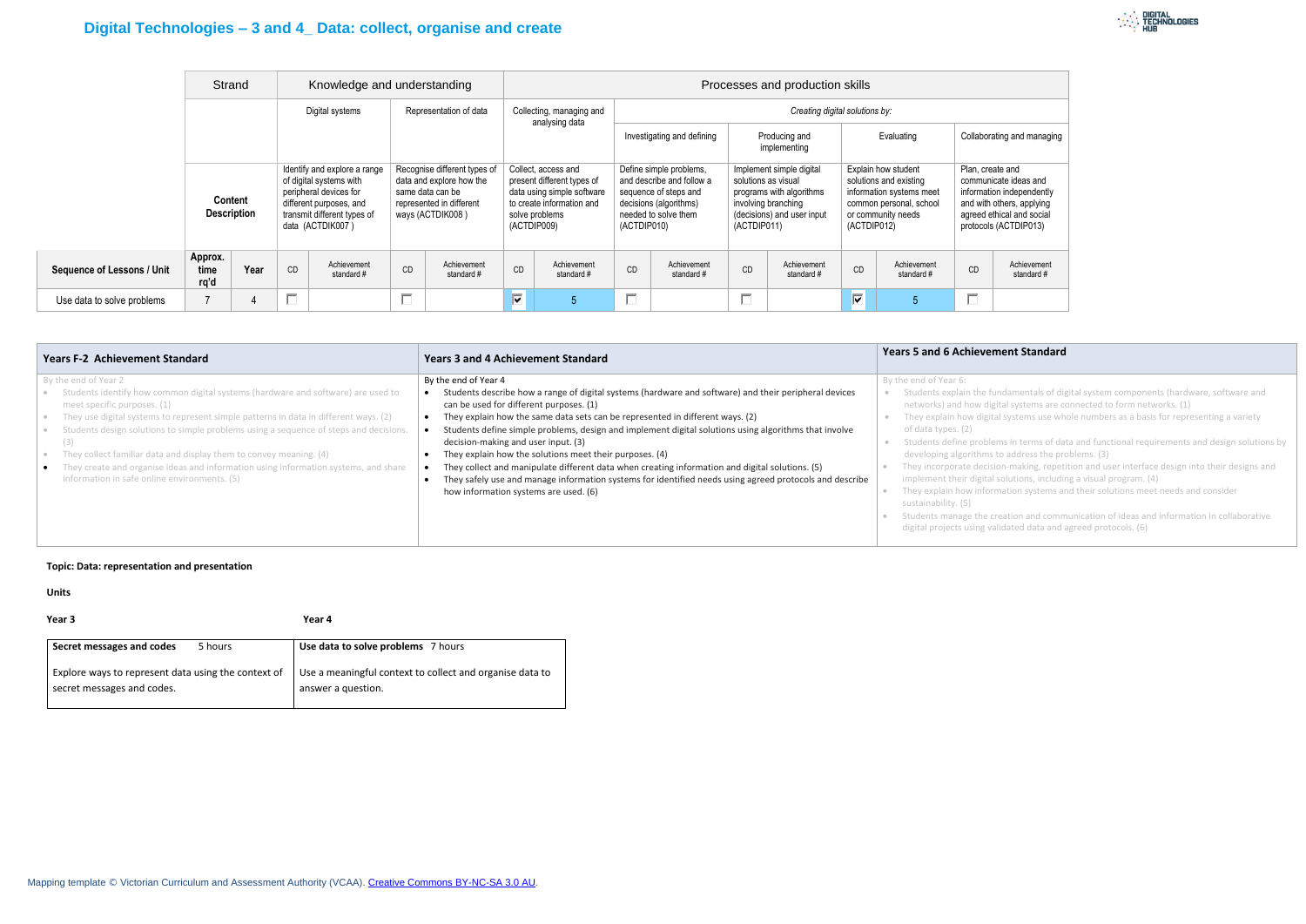# **Digital Technologies – 3 and 4\_ Data: collect, organise and create**

|                                   | Strand                        |      |                                                                                                                                                                 | Knowledge and understanding |                                                                                                                              |                           | Processes and production skills                                                                                                               |                           |                                                                                                                                                |                            |                                                                                                                                                 |                               |                                                                                                                                           |                           |                                                                                                                                                           |                            |
|-----------------------------------|-------------------------------|------|-----------------------------------------------------------------------------------------------------------------------------------------------------------------|-----------------------------|------------------------------------------------------------------------------------------------------------------------------|---------------------------|-----------------------------------------------------------------------------------------------------------------------------------------------|---------------------------|------------------------------------------------------------------------------------------------------------------------------------------------|----------------------------|-------------------------------------------------------------------------------------------------------------------------------------------------|-------------------------------|-------------------------------------------------------------------------------------------------------------------------------------------|---------------------------|-----------------------------------------------------------------------------------------------------------------------------------------------------------|----------------------------|
|                                   |                               |      | Digital systems                                                                                                                                                 |                             | Representation of data                                                                                                       |                           | Collecting, managing and<br>analysing data                                                                                                    |                           | Creating digital solutions by:                                                                                                                 |                            |                                                                                                                                                 |                               |                                                                                                                                           |                           |                                                                                                                                                           |                            |
|                                   |                               |      |                                                                                                                                                                 |                             |                                                                                                                              |                           |                                                                                                                                               |                           |                                                                                                                                                | Investigating and defining |                                                                                                                                                 | Producing and<br>implementing |                                                                                                                                           | Evaluating                |                                                                                                                                                           | Collaborating and managing |
|                                   | Content<br><b>Description</b> |      | Identify and explore a range<br>of digital systems with<br>peripheral devices for<br>different purposes, and<br>transmit different types of<br>data (ACTDIK007) |                             | Recognise different types of<br>data and explore how the<br>same data can be<br>represented in different<br>ways (ACTDIK008) |                           | Collect, access and<br>present different types of<br>data using simple software<br>to create information and<br>solve problems<br>(ACTDIP009) |                           | Define simple problems,<br>and describe and follow a<br>sequence of steps and<br>decisions (algorithms)<br>needed to solve them<br>(ACTDIP010) |                            | Implement simple digital<br>solutions as visual<br>programs with algorithms<br>involving branching<br>(decisions) and user input<br>(ACTDIP011) |                               | Explain how student<br>solutions and existing<br>information systems meet<br>common personal, school<br>or community needs<br>(ACTDIP012) |                           | Plan, create and<br>communicate ideas and<br>information independently<br>and with others, applying<br>agreed ethical and social<br>protocols (ACTDIP013) |                            |
| <b>Sequence of Lessons / Unit</b> | Approx.<br>time<br>rq'd       | Year | CD                                                                                                                                                              | Achievement<br>standard #   | <b>CD</b>                                                                                                                    | Achievement<br>standard # | CD                                                                                                                                            | Achievement<br>standard # | <b>CD</b>                                                                                                                                      | Achievement<br>standard #  | <b>CD</b>                                                                                                                                       | Achievement<br>standard #     | <b>CD</b>                                                                                                                                 | Achievement<br>standard # | CD                                                                                                                                                        | Achievement<br>standard #  |
| Use data to solve problems        |                               |      | П                                                                                                                                                               |                             | $-$                                                                                                                          |                           | ⊽                                                                                                                                             |                           | $-$                                                                                                                                            |                            | ┍                                                                                                                                               |                               | $\overline{\triangledown}$                                                                                                                | .5                        | П                                                                                                                                                         |                            |

| Collaborating and managing                                                                                                                                |                          |  |  |  |  |  |  |  |
|-----------------------------------------------------------------------------------------------------------------------------------------------------------|--------------------------|--|--|--|--|--|--|--|
| Plan, create and<br>communicate ideas and<br>information independently<br>and with others, applying<br>agreed ethical and social<br>protocols (ACTDIP013) |                          |  |  |  |  |  |  |  |
|                                                                                                                                                           |                          |  |  |  |  |  |  |  |
| C.N                                                                                                                                                       | Achievement<br>standard# |  |  |  |  |  |  |  |

fundamentals of digital system components (hardware, software and iigital systems are connected to form networks.  $(1)$ tital systems use whole numbers as a basis for representing a variety

Ilems in terms of data and functional requirements and design solutions by is to address the problems. (3)

ision-making, repetition and user interface design into their designs and al solutions, including a visual program. (4)

Intertion systems and their solutions meet needs and consider

creation and communication of ideas and information in collaborative validated data and agreed protocols. (6)

| <b>Years F-2 Achievement Standard</b>                                                                                                                                                                                                                                                                                                                                                                                                                                                                                                        | <b>Years 3 and 4 Achievement Standard</b>                                                                                                                                                                                                                                                                                                                                                                                                                                                                                                                                                                                                                                                                                   | <b>Years 5 and 6 Achievement Standard</b>                                                                                                                                                                                                                                                                                                                                                                                                                                                                                |
|----------------------------------------------------------------------------------------------------------------------------------------------------------------------------------------------------------------------------------------------------------------------------------------------------------------------------------------------------------------------------------------------------------------------------------------------------------------------------------------------------------------------------------------------|-----------------------------------------------------------------------------------------------------------------------------------------------------------------------------------------------------------------------------------------------------------------------------------------------------------------------------------------------------------------------------------------------------------------------------------------------------------------------------------------------------------------------------------------------------------------------------------------------------------------------------------------------------------------------------------------------------------------------------|--------------------------------------------------------------------------------------------------------------------------------------------------------------------------------------------------------------------------------------------------------------------------------------------------------------------------------------------------------------------------------------------------------------------------------------------------------------------------------------------------------------------------|
| By the end of Year 2<br>Students identify how common digital systems (hardware and software) are used to<br>meet specific purposes. (1)<br>They use digital systems to represent simple patterns in data in different ways. (2)<br>Students design solutions to simple problems using a sequence of steps and decisions.<br>(3)<br>They collect familiar data and display them to convey meaning. (4)<br>They create and organise ideas and information using information systems, and share<br>information in safe online environments. (5) | By the end of Year 4<br>Students describe how a range of digital systems (hardware and software) and their peripheral devices<br>can be used for different purposes. (1)<br>They explain how the same data sets can be represented in different ways. (2)<br>Students define simple problems, design and implement digital solutions using algorithms that involve<br>decision-making and user input. (3)<br>They explain how the solutions meet their purposes. (4)<br>They collect and manipulate different data when creating information and digital solutions. (5)<br>They safely use and manage information systems for identified needs using agreed protocols and describe<br>how information systems are used. (6) | By the end of Year 6:<br>Students explain the fundamentals of dig<br>networks) and how digital systems are c<br>They explain how digital systems use wh<br>of data types. (2)<br>Students define problems in terms of da<br>developing algorithms to address the pro-<br>They incorporate decision-making, repet<br>implement their digital solutions, including<br>They explain how information systems at<br>sustainability. (5)<br>Students manage the creation and comn<br>digital projects using validated data and |

### **Topic: Data: representation and presentation**

### **Units**

**Year 3 Year 4**

| Secret messages and codes                                                         | 5 hours | Use data to solve problems 7 hours                                             |
|-----------------------------------------------------------------------------------|---------|--------------------------------------------------------------------------------|
| Explore ways to represent data using the context of<br>secret messages and codes. |         | Use a meaningful context to collect and organise data to<br>answer a question. |

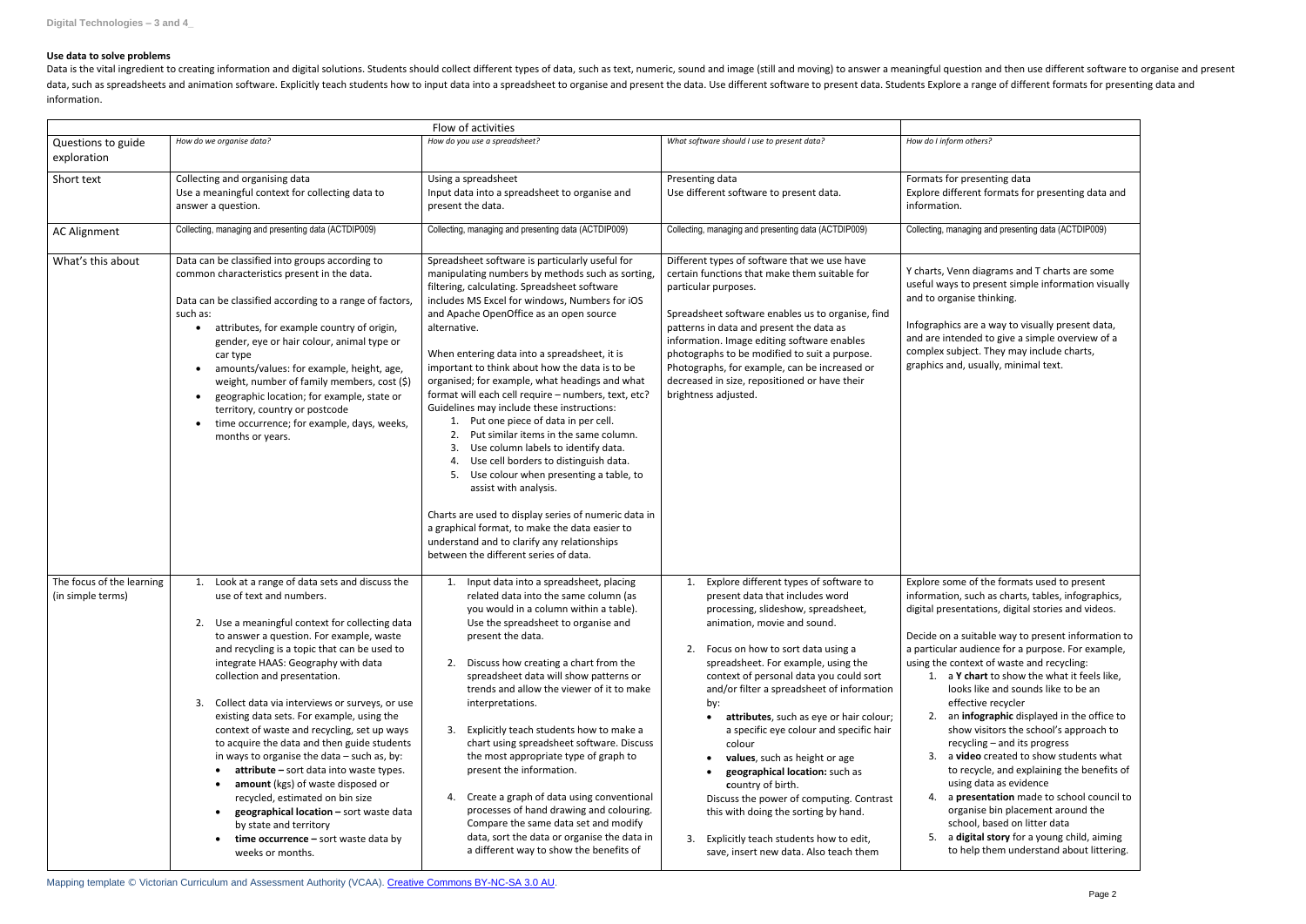### **Use data to solve problems**

Data is the vital ingredient to creating information and digital solutions. Students should collect different types of data, such as text, numeric, sound and image (still and moving) to answer a meaningful question and the data, such as spreadsheets and animation software. Explicitly teach students how to input data into a spreadsheet to organise and present the data. Use different software to present data. Students Explore a range of differ information.

|                                                |                                                                                                                                                                                                                                                                                                                                                                                                                                                                                                                                                                                                                                                                                                                                                                                                         | Flow of activities                                                                                                                                                                                                                                                                                                                                                                                                                                                                                                                                                                                                                                                                                                                                                                                                                                                                                                                                                                 |                                                                                                                                                                                                                                                                                                                                                                                                                                                                                                                                                                                                                                                                                                         |                                                                                                                                                                                                                                                                                                                                                                                                                                                                                                                                                                                                                                                                                                                                                                                                                                           |
|------------------------------------------------|---------------------------------------------------------------------------------------------------------------------------------------------------------------------------------------------------------------------------------------------------------------------------------------------------------------------------------------------------------------------------------------------------------------------------------------------------------------------------------------------------------------------------------------------------------------------------------------------------------------------------------------------------------------------------------------------------------------------------------------------------------------------------------------------------------|------------------------------------------------------------------------------------------------------------------------------------------------------------------------------------------------------------------------------------------------------------------------------------------------------------------------------------------------------------------------------------------------------------------------------------------------------------------------------------------------------------------------------------------------------------------------------------------------------------------------------------------------------------------------------------------------------------------------------------------------------------------------------------------------------------------------------------------------------------------------------------------------------------------------------------------------------------------------------------|---------------------------------------------------------------------------------------------------------------------------------------------------------------------------------------------------------------------------------------------------------------------------------------------------------------------------------------------------------------------------------------------------------------------------------------------------------------------------------------------------------------------------------------------------------------------------------------------------------------------------------------------------------------------------------------------------------|-------------------------------------------------------------------------------------------------------------------------------------------------------------------------------------------------------------------------------------------------------------------------------------------------------------------------------------------------------------------------------------------------------------------------------------------------------------------------------------------------------------------------------------------------------------------------------------------------------------------------------------------------------------------------------------------------------------------------------------------------------------------------------------------------------------------------------------------|
| Questions to guide<br>exploration              | How do we organise data?                                                                                                                                                                                                                                                                                                                                                                                                                                                                                                                                                                                                                                                                                                                                                                                | How do you use a spreadsheet?                                                                                                                                                                                                                                                                                                                                                                                                                                                                                                                                                                                                                                                                                                                                                                                                                                                                                                                                                      | What software should I use to present data?                                                                                                                                                                                                                                                                                                                                                                                                                                                                                                                                                                                                                                                             | How do I inform others?                                                                                                                                                                                                                                                                                                                                                                                                                                                                                                                                                                                                                                                                                                                                                                                                                   |
| Short text                                     | Collecting and organising data<br>Use a meaningful context for collecting data to<br>answer a question.                                                                                                                                                                                                                                                                                                                                                                                                                                                                                                                                                                                                                                                                                                 | Using a spreadsheet<br>Input data into a spreadsheet to organise and<br>present the data.                                                                                                                                                                                                                                                                                                                                                                                                                                                                                                                                                                                                                                                                                                                                                                                                                                                                                          | Presenting data<br>Use different software to present data.                                                                                                                                                                                                                                                                                                                                                                                                                                                                                                                                                                                                                                              | Formats for presenting data<br>Explore different formats for presenting data<br>information.                                                                                                                                                                                                                                                                                                                                                                                                                                                                                                                                                                                                                                                                                                                                              |
| <b>AC Alignment</b>                            | Collecting, managing and presenting data (ACTDIP009)                                                                                                                                                                                                                                                                                                                                                                                                                                                                                                                                                                                                                                                                                                                                                    | Collecting, managing and presenting data (ACTDIP009)                                                                                                                                                                                                                                                                                                                                                                                                                                                                                                                                                                                                                                                                                                                                                                                                                                                                                                                               | Collecting, managing and presenting data (ACTDIP009)                                                                                                                                                                                                                                                                                                                                                                                                                                                                                                                                                                                                                                                    | Collecting, managing and presenting data (ACTDIP009)                                                                                                                                                                                                                                                                                                                                                                                                                                                                                                                                                                                                                                                                                                                                                                                      |
| What's this about                              | Data can be classified into groups according to<br>common characteristics present in the data.<br>Data can be classified according to a range of factors,<br>such as:<br>attributes, for example country of origin,<br>gender, eye or hair colour, animal type or<br>car type<br>amounts/values: for example, height, age,<br>weight, number of family members, cost (\$)<br>geographic location; for example, state or<br>territory, country or postcode<br>time occurrence; for example, days, weeks,<br>months or years.                                                                                                                                                                                                                                                                             | Spreadsheet software is particularly useful for<br>manipulating numbers by methods such as sorting,<br>filtering, calculating. Spreadsheet software<br>includes MS Excel for windows, Numbers for iOS<br>and Apache OpenOffice as an open source<br>alternative.<br>When entering data into a spreadsheet, it is<br>important to think about how the data is to be<br>organised; for example, what headings and what<br>format will each cell require - numbers, text, etc?<br>Guidelines may include these instructions:<br>1. Put one piece of data in per cell.<br>Put similar items in the same column.<br>Use column labels to identify data.<br>3.<br>Use cell borders to distinguish data.<br>4.<br>Use colour when presenting a table, to<br>5.<br>assist with analysis.<br>Charts are used to display series of numeric data in<br>a graphical format, to make the data easier to<br>understand and to clarify any relationships<br>between the different series of data. | Different types of software that we use have<br>certain functions that make them suitable for<br>particular purposes.<br>Spreadsheet software enables us to organise, find<br>patterns in data and present the data as<br>information. Image editing software enables<br>photographs to be modified to suit a purpose.<br>Photographs, for example, can be increased or<br>decreased in size, repositioned or have their<br>brightness adjusted.                                                                                                                                                                                                                                                        | Y charts, Venn diagrams and T charts are son<br>useful ways to present simple information vis<br>and to organise thinking.<br>Infographics are a way to visually present dat<br>and are intended to give a simple overview o<br>complex subject. They may include charts,<br>graphics and, usually, minimal text.                                                                                                                                                                                                                                                                                                                                                                                                                                                                                                                         |
| The focus of the learning<br>(in simple terms) | 1. Look at a range of data sets and discuss the<br>use of text and numbers.<br>2. Use a meaningful context for collecting data<br>to answer a question. For example, waste<br>and recycling is a topic that can be used to<br>integrate HAAS: Geography with data<br>collection and presentation.<br>3. Collect data via interviews or surveys, or use<br>existing data sets. For example, using the<br>context of waste and recycling, set up ways<br>to acquire the data and then guide students<br>in ways to organise the data - such as, by:<br>attribute - sort data into waste types.<br>amount (kgs) of waste disposed or<br>recycled, estimated on bin size<br>geographical location - sort waste data<br>by state and territory<br>$time$ occurrence – sort waste data by<br>weeks or months. | 1. Input data into a spreadsheet, placing<br>related data into the same column (as<br>you would in a column within a table).<br>Use the spreadsheet to organise and<br>present the data.<br>Discuss how creating a chart from the<br>2.<br>spreadsheet data will show patterns or<br>trends and allow the viewer of it to make<br>interpretations.<br>3. Explicitly teach students how to make a<br>chart using spreadsheet software. Discuss<br>the most appropriate type of graph to<br>present the information.<br>Create a graph of data using conventional<br>4.<br>processes of hand drawing and colouring.<br>Compare the same data set and modify<br>data, sort the data or organise the data in<br>a different way to show the benefits of                                                                                                                                                                                                                                | Explore different types of software to<br>1.<br>present data that includes word<br>processing, slideshow, spreadsheet,<br>animation, movie and sound.<br>Focus on how to sort data using a<br>spreadsheet. For example, using the<br>context of personal data you could sort<br>and/or filter a spreadsheet of information<br>by:<br>attributes, such as eye or hair colour;<br>a specific eye colour and specific hair<br>colour<br>values, such as height or age<br>geographical location: such as<br>country of birth.<br>Discuss the power of computing. Contrast<br>this with doing the sorting by hand.<br>Explicitly teach students how to edit,<br>3.<br>save, insert new data. Also teach them | Explore some of the formats used to present<br>information, such as charts, tables, infograph<br>digital presentations, digital stories and vided<br>Decide on a suitable way to present informat<br>a particular audience for a purpose. For exan<br>using the context of waste and recycling:<br>1. a Y chart to show the what it feels I<br>looks like and sounds like to be an<br>effective recycler<br>2. an infographic displayed in the offic<br>show visitors the school's approach<br>recycling - and its progress<br>3. a video created to show students w<br>to recycle, and explaining the bene<br>using data as evidence<br>4. a presentation made to school cou<br>organise bin placement around the<br>school, based on litter data<br>a digital story for a young child, ain<br>5.<br>to help them understand about litte |

Mapping template © Victorian Curriculum and Assessment Authority (VCAA). [Creative Commons BY-NC-SA 3.0 AU.](https://creativecommons.org/licenses/by-nc-sa/3.0/au/)

|              | How do I inform others?                              |
|--------------|------------------------------------------------------|
|              |                                                      |
|              |                                                      |
|              | Formats for presenting data                          |
|              | Explore different formats for presenting data and    |
| information. |                                                      |
|              | Collecting, managing and presenting data (ACTDIP009) |
|              |                                                      |
|              |                                                      |
|              |                                                      |
|              | Y charts, Venn diagrams and T charts are some        |
|              | useful ways to present simple information visually   |
|              | and to organise thinking.                            |
|              |                                                      |
|              | Infographics are a way to visually present data,     |
|              | and are intended to give a simple overview of a      |
|              | complex subject. They may include charts,            |
|              | graphics and, usually, minimal text.                 |
|              |                                                      |
|              |                                                      |
|              |                                                      |
|              |                                                      |
|              |                                                      |
|              |                                                      |
|              |                                                      |
|              |                                                      |
|              |                                                      |
|              |                                                      |
|              |                                                      |
|              |                                                      |
|              |                                                      |
|              |                                                      |
|              |                                                      |
|              |                                                      |
|              | Explore some of the formats used to present          |
|              | information, such as charts, tables, infographics,   |
|              | digital presentations, digital stories and videos.   |
|              |                                                      |
|              | Decide on a suitable way to present information to   |
|              | a particular audience for a purpose. For example,    |
|              | using the context of waste and recycling:            |
|              |                                                      |
| 1.           | a Y chart to show the what it feels like,            |
|              | looks like and sounds like to be an                  |
|              | effective recycler                                   |
| 2.           | an infographic displayed in the office to            |
|              | show visitors the school's approach to               |
|              | recycling - and its progress                         |
| 3.           | a video created to show students what                |
|              | to recycle, and explaining the benefits of           |
|              | using data as evidence                               |
| 4.           | a presentation made to school council to             |
|              | organise bin placement around the                    |
|              | school, based on litter data                         |
| 5.           | a digital story for a young child, aiming            |
|              | to help them understand about littering.             |
|              |                                                      |